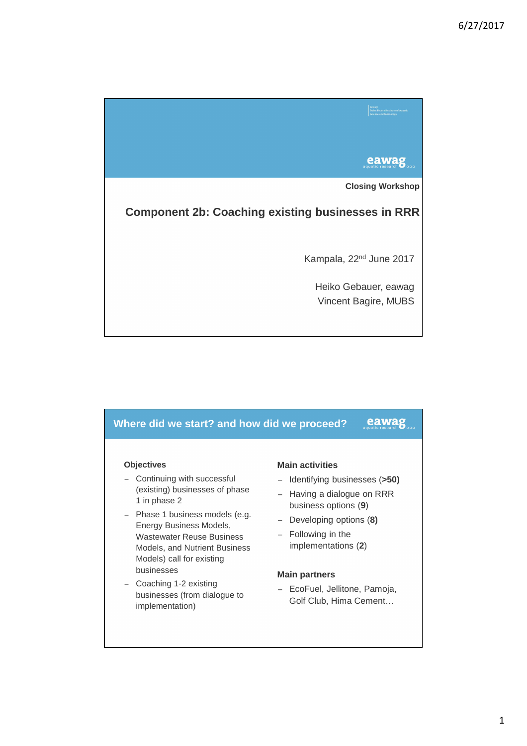

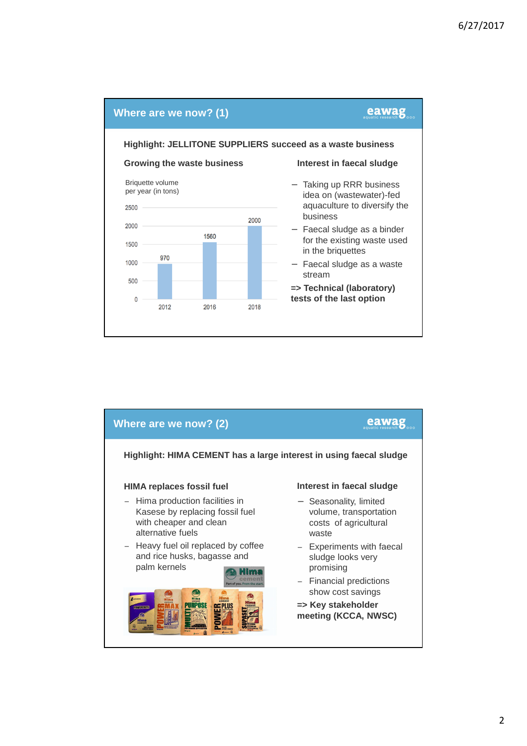